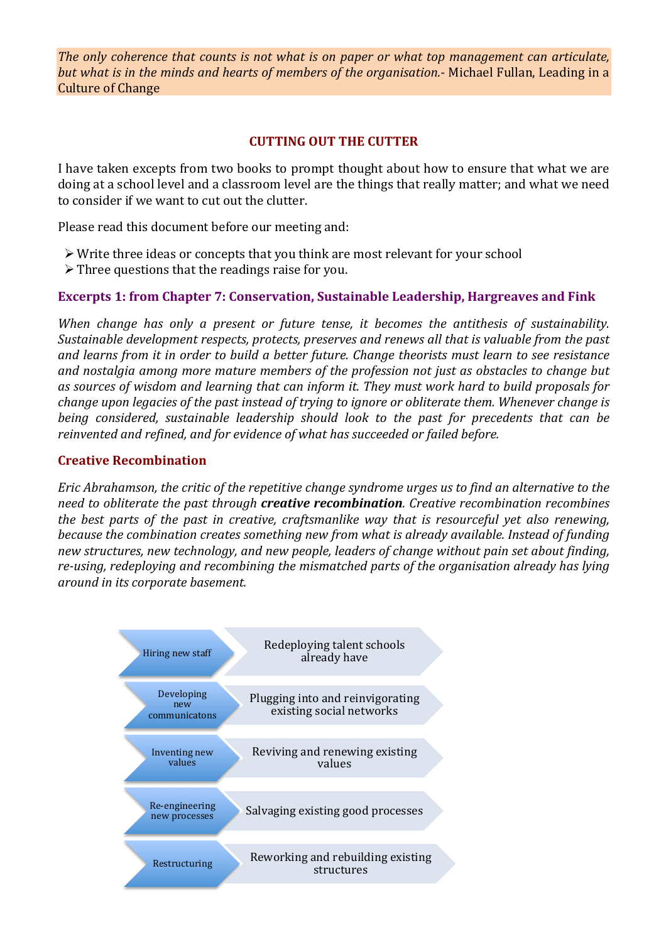*The only coherence that counts is not what is on paper or what top management can articulate, but* what is in the minds and hearts of members of the organisation.- Michael Fullan, Leading in a Culture of Change

### **CUTTING OUT THE CUTTER**

I have taken excepts from two books to prompt thought about how to ensure that what we are doing at a school level and a classroom level are the things that really matter; and what we need to consider if we want to cut out the clutter.

Please read this document before our meeting and:

- $\triangleright$  Write three ideas or concepts that you think are most relevant for your school
- $\triangleright$  Three questions that the readings raise for you.

# **Excerpts 1: from Chapter 7: Conservation, Sustainable Leadership, Hargreaves and Fink**

*When change has only a present or future tense, it becomes the antithesis of sustainability.* Sustainable development respects, protects, preserves and renews all that is valuable from the past and learns from it in order to build a better future. Change theorists must learn to see resistance and nostalgia among more mature members of the profession not just as obstacles to change but as sources of wisdom and learning that can inform it. They must work hard to build proposals for *change upon legacies of the past instead of trying to ignore or obliterate them. Whenever change is being considered, sustainable leadership should look to the past for precedents that can be* reinvented and refined, and for evidence of what has succeeded or failed before.

## **Creative Recombination**

*Eric Abrahamson, the critic of the repetitive change syndrome urges us to find an alternative to the need to obliterate the past through creative recombination. Creative recombination recombines the best parts of the past in creative, craftsmanlike way that is resourceful yet also renewing, because the combination creates something new from what is already available. Instead of funding* new structures, new technology, and new people, leaders of change without pain set about finding, re-using, redeploying and recombining the mismatched parts of the organisation already has lying *around in its corporate basement.*

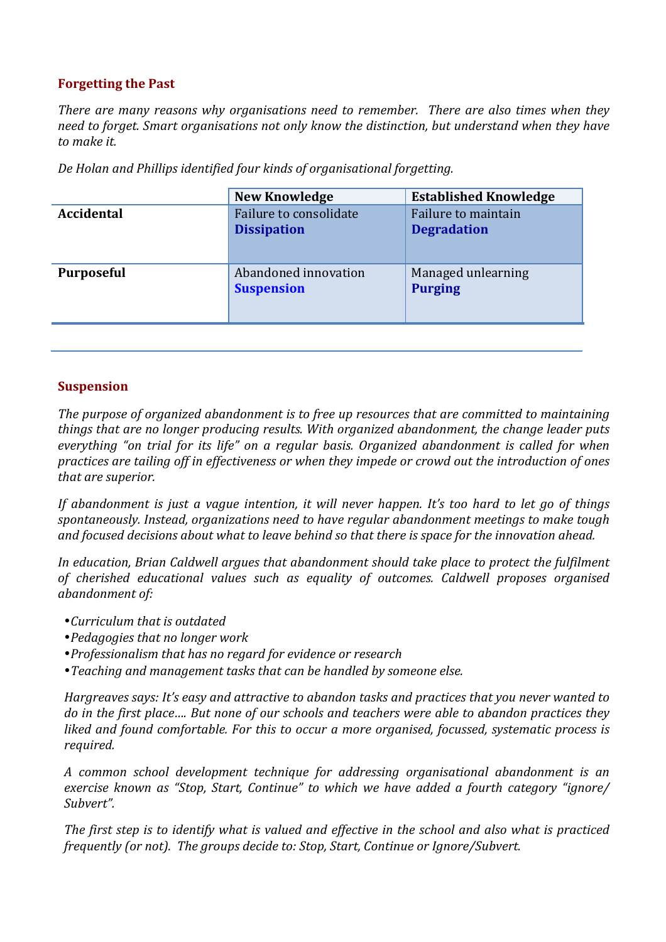# **Forgetting the Past**

*There are many reasons why organisations need to remember. There are also times when they* need to forget. Smart organisations not only know the distinction, but understand when they have *to make it.*

| Accidental<br>Failure to consolidate<br>Failure to maintain<br><b>Degradation</b><br><b>Dissipation</b><br>Abandoned innovation<br>Managed unlearning<br><b>Purposeful</b> | <b>New Knowledge</b> | <b>Established Knowledge</b> |
|----------------------------------------------------------------------------------------------------------------------------------------------------------------------------|----------------------|------------------------------|
|                                                                                                                                                                            |                      |                              |
|                                                                                                                                                                            | <b>Suspension</b>    | <b>Purging</b>               |

De Holan and Phillips identified four kinds of organisational forgetting.

## **Suspension**

The purpose of organized abandonment is to free up resources that are committed to maintaining *things that are no longer producing results. With organized abandonment, the change leader puts everything* "on trial for its life" on a regular basis. Organized abandonment is called for when practices are tailing off in effectiveness or when they impede or crowd out the introduction of ones that are superior.

*If* abandonment is just a vague intention, it will never happen. It's too hard to let go of things spontaneously. Instead, organizations need to have regular abandonment meetings to make tough and focused decisions about what to leave behind so that there is space for the innovation ahead.

In education, Brian Caldwell argues that abandonment should take place to protect the fulfilment of cherished educational values such as equality of outcomes. Caldwell proposes organised *abandonment of:*

- •*Curriculum that is outdated*
- •*Pedagogies that no longer work*
- •*Professionalism that has no regard for evidence or research*
- Teaching and management tasks that can be handled by someone else.

*Hargreaves says: It's easy and attractive to abandon tasks and practices that you never wanted to do* in the first place.... But none of our schools and teachers were able to abandon practices they *liked* and found comfortable. For this to occur a more organised, focussed, systematic process is *required.*

*A common school development technique for addressing organisational abandonment is an exercise known as "Stop, Start, Continue" to which we have added a fourth category "ignore/ Subvert".*

The first step is to identify what is valued and effective in the school and also what is practiced *frequently* (or not). The groups decide to: Stop, Start, Continue or Ignore/Subvert.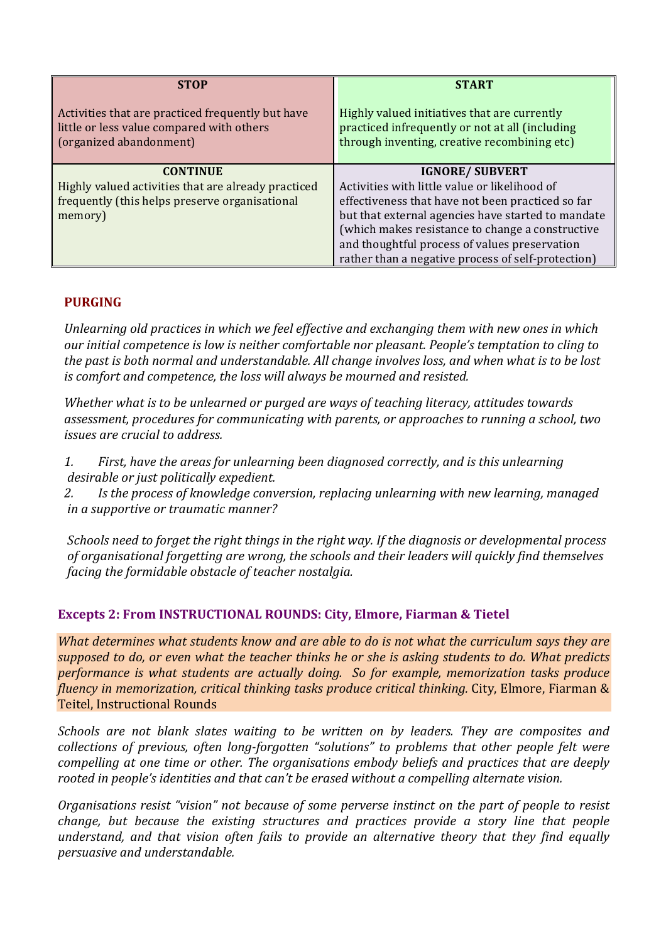| <b>STOP</b>                                                                                                                         | <b>START</b>                                                                                                                                                                                                                                                                            |
|-------------------------------------------------------------------------------------------------------------------------------------|-----------------------------------------------------------------------------------------------------------------------------------------------------------------------------------------------------------------------------------------------------------------------------------------|
| Activities that are practiced frequently but have<br>little or less value compared with others<br>(organized abandonment)           | Highly valued initiatives that are currently<br>practiced infrequently or not at all (including<br>through inventing, creative recombining etc)                                                                                                                                         |
| <b>CONTINUE</b><br>Highly valued activities that are already practiced<br>frequently (this helps preserve organisational<br>memory) | <b>IGNORE/ SUBVERT</b><br>Activities with little value or likelihood of<br>effectiveness that have not been practiced so far<br>but that external agencies have started to mandate<br>(which makes resistance to change a constructive<br>and thoughtful process of values preservation |
|                                                                                                                                     | rather than a negative process of self-protection)                                                                                                                                                                                                                                      |

### **PURGING**

Unlearning old practices in which we feel effective and exchanging them with new ones in which *our* initial competence is low is neither comfortable nor pleasant. People's temptation to cling to the past is both normal and understandable. All change involves loss, and when what is to be lost *is* comfort and competence, the loss will always be mourned and resisted.

*Whether what is to be unlearned or purged are ways of teaching literacy, attitudes towards* assessment, procedures for communicating with parents, or approaches to running a school, two *issues are crucial to address.* 

1. First, have the areas for unlearning been diagnosed correctly, and is this unlearning desirable or just politically expedient.

2. Is the process of knowledge conversion, replacing unlearning with new learning, managed *in a supportive or traumatic manner?*

*Schools need to forget the right things in the right way. If the diagnosis or developmental process* of organisational forgetting are wrong, the schools and their leaders will quickly find themselves *facing the formidable obstacle of teacher nostalgia.* 

# **Excepts 2: From INSTRUCTIONAL ROUNDS: City, Elmore, Fiarman & Tietel**

*What determines what students know and are able to do is not what the curriculum says they are supposed to do, or even what the teacher thinks he or she is asking students to do. What predicts performance is what students are actually doing. So for example, memorization tasks produce fluency in memorization, critical thinking tasks produce critical thinking. City, Elmore, Fiarman &* Teitel, Instructional Rounds

*Schools* are not blank slates waiting to be written on by leaders. They are composites and *collections of previous, often long-forgotten* "solutions" to problems that other people felt were *compelling at one time or other. The organisations embody beliefs and practices that are deeply* rooted in people's identities and that can't be erased without a compelling alternate vision.

*Organisations resist "vision" not because of some perverse instinct on the part of people to resist change, but because the existing structures and practices provide a story line that people understand, and that vision often fails to provide an alternative theory that they find equally persuasive and understandable.*